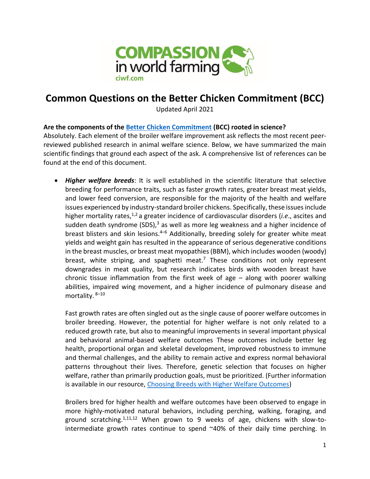

# **Common Questions on the Better Chicken Commitment (BCC)**

Updated April 2021

### **Are the components of the [Better Chicken Commitment](https://welfarecommitments.com/letters/us/letter.pdf) (BCC) rooted in science?**

Absolutely. Each element of the broiler welfare improvement ask reflects the most recent peerreviewed published research in animal welfare science. Below, we have summarized the main scientific findings that ground each aspect of the ask. A comprehensive list of references can be found at the end of this document.

• *Higher welfare breeds*: It is well established in the scientific literature that selective breeding for performance traits, such as faster growth rates, greater breast meat yields, and lower feed conversion, are responsible for the majority of the health and welfare issues experienced by industry-standard broiler chickens. Specifically, these issues include higher mortality rates,<sup>1,2</sup> a greater incidence of cardiovascular disorders (*i.e.*, ascites and sudden death syndrome (SDS), $3$  as well as more leg weakness and a higher incidence of breast blisters and skin lesions.<sup>4–6</sup> Additionally, breeding solely for greater white meat yields and weight gain has resulted in the appearance of serious degenerative conditions in the breast muscles, or breast meat myopathies (BBM), which includes wooden (woody) breast, white striping, and spaghetti meat.<sup>7</sup> These conditions not only represent downgrades in meat quality, but research indicates birds with wooden breast have chronic tissue inflammation from the first week of age – along with poorer walking abilities, impaired wing movement, and a higher incidence of pulmonary disease and mortality. 8–10

Fast growth rates are often singled out as the single cause of poorer welfare outcomes in broiler breeding. However, the potential for higher welfare is not only related to a reduced growth rate, but also to meaningful improvements in several important physical and behavioral animal-based welfare outcomes These outcomes include better leg health, proportional organ and skeletal development, improved robustness to immune and thermal challenges, and the ability to remain active and express normal behavioral patterns throughout their lives. Therefore, genetic selection that focuses on higher welfare, rather than primarily production goals, must be prioritized. (Further information is available in our resource, [Choosing Breeds with Higher Welfare Outcomes\)](https://www.compassioninfoodbusiness.com/media/7439625/choosing-breeds-with-higher-welfare-outcomes.pdf)

Broilers bred for higher health and welfare outcomes have been observed to engage in more highly-motivated natural behaviors, including perching, walking, foraging, and ground scratching.<sup>1,11,12</sup> When grown to 9 weeks of age, chickens with slow-tointermediate growth rates continue to spend ~40% of their daily time perching. In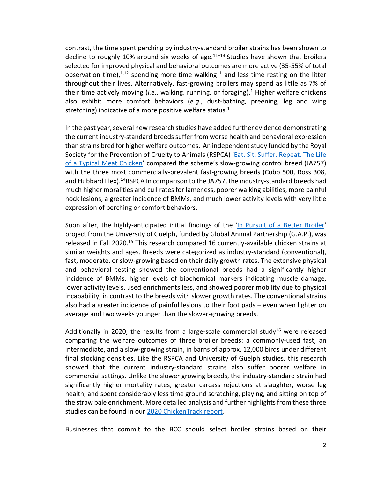contrast, the time spent perching by industry-standard broiler strains has been shown to decline to roughly 10% around six weeks of age. $11-13$  Studies have shown that broilers selected for improved physical and behavioral outcomes are more active (35-55% of total observation time),<sup>1,12</sup> spending more time walking<sup>11</sup> and less time resting on the litter throughout their lives. Alternatively, fast-growing broilers may spend as little as 7% of their time actively moving (*i.e*., walking, running, or foraging).<sup>1</sup> Higher welfare chickens also exhibit more comfort behaviors (*e.g*., dust-bathing, preening, leg and wing stretching) indicative of a more positive welfare status.<sup>1</sup>

In the past year, several new research studies have added further evidence demonstrating the current industry-standard breeds suffer from worse health and behavioral expression than strains bred for higher welfare outcomes. An independent study funded by the Royal Society for the Prevention of Cruelty to Animals (RSPCA) '[Eat. Sit. Suffer. Repeat. The Life](https://www.compassioninfoodbusiness.com/media/7439270/rspca-broiler-breed-report-eat-sit-suffer-repeat.pdf)  [of a Typical Meat Chicken](https://www.compassioninfoodbusiness.com/media/7439270/rspca-broiler-breed-report-eat-sit-suffer-repeat.pdf)' compared the scheme's slow-growing control breed (JA757) with the three most commercially-prevalent fast-growing breeds (Cobb 500, Ross 308, and Hubbard Flex). <sup>14</sup>RSPCA In comparison to the JA757, the industry-standard breeds had much higher moralities and cull rates for lameness, poorer walking abilities, more painful hock lesions, a greater incidence of BMMs, and much lower activity levels with very little expression of perching or comfort behaviors.

Soon after, the highly-anticipated initial findings of the '[In Pursuit of a Better Broiler](https://globalanimalpartnership.org/wp-content/uploads/2020/09/Better_Chicken_Project_Summary_Report_Global_Animal_Partnership.pdf)' project from the University of Guelph, funded by Global Animal Partnership (G.A.P.), was released in Fall 2020.<sup>15</sup> This research compared 16 currently-available chicken strains at similar weights and ages. Breeds were categorized as industry-standard (conventional), fast, moderate, or slow-growing based on their daily growth rates. The extensive physical and behavioral testing showed the conventional breeds had a significantly higher incidence of BMMs, higher levels of biochemical markers indicating muscle damage, lower activity levels, used enrichments less, and showed poorer mobility due to physical incapability, in contrast to the breeds with slower growth rates. The conventional strains also had a greater incidence of painful lesions to their foot pads – even when lighter on average and two weeks younger than the slower-growing breeds.

Additionally in 2020, the results from a large-scale commercial study<sup>16</sup> were released comparing the welfare outcomes of three broiler breeds: a commonly-used fast, an intermediate, and a slow-growing strain, in barns of approx. 12,000 birds under different final stocking densities. Like the RSPCA and University of Guelph studies, this research showed that the current industry-standard strains also suffer poorer welfare in commercial settings. Unlike the slower growing breeds, the industry-standard strain had significantly higher mortality rates, greater carcass rejections at slaughter, worse leg health, and spent considerably less time ground scratching, playing, and sitting on top of the straw bale enrichment. More detailed analysis and further highlights from these three studies can be found in our [2020 ChickenTrack report.](https://www.ciwf.com/media/7443240/chickentrack-2020-report.pdf)

Businesses that commit to the BCC should select broiler strains based on their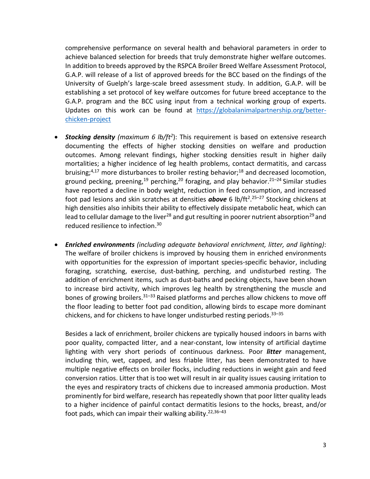comprehensive performance on several health and behavioral parameters in order to achieve balanced selection for breeds that truly demonstrate higher welfare outcomes. In addition to breeds approved by the RSPCA Broiler Breed Welfare Assessment Protocol, G.A.P. will release of a list of approved breeds for the BCC based on the findings of the University of Guelph's large-scale breed assessment study. In addition, G.A.P. will be establishing a set protocol of key welfare outcomes for future breed acceptance to the G.A.P. program and the BCC using input from a technical working group of experts. Updates on this work can be found at [https://globalanimalpartnership.org/better](https://globalanimalpartnership.org/better-chicken-project)[chicken-project](https://globalanimalpartnership.org/better-chicken-project)

- *Stocking density (maximum 6 lb/ft<sup>2</sup>* ): This requirement is based on extensive research documenting the effects of higher stocking densities on welfare and production outcomes. Among relevant findings, higher stocking densities result in higher daily mortalities; a higher incidence of leg health problems, contact dermatitis, and carcass bruising;<sup>4,17</sup> more disturbances to broiler resting behavior;<sup>18</sup> and decreased locomotion, ground pecking, preening,<sup>19</sup> perching,<sup>20</sup> foraging, and play behavior.<sup>21–24</sup> Similar studies have reported a decline in body weight, reduction in feed consumption, and increased foot pad lesions and skin scratches at densities **above** 6 lb/ft<sup>2</sup>.<sup>25-27</sup> Stocking chickens at high densities also inhibits their ability to effectively dissipate metabolic heat, which can lead to cellular damage to the liver<sup>28</sup> and gut resulting in poorer nutrient absorption<sup>29</sup> and reduced resilience to infection. 30
- *Enriched environments (including adequate behavioral enrichment, litter, and lighting)*: The welfare of broiler chickens is improved by housing them in enriched environments with opportunities for the expression of important species-specific behavior, including foraging, scratching, exercise, dust-bathing, perching, and undisturbed resting. The addition of enrichment items, such as dust-baths and pecking objects, have been shown to increase bird activity, which improves leg health by strengthening the muscle and bones of growing broilers.<sup>31–33</sup> Raised platforms and perches allow chickens to move off the floor leading to better foot pad condition, allowing birds to escape more dominant chickens, and for chickens to have longer undisturbed resting periods.<sup>33-35</sup>

Besides a lack of enrichment, broiler chickens are typically housed indoors in barns with poor quality, compacted litter, and a near-constant, low intensity of artificial daytime lighting with very short periods of continuous darkness. Poor *litter* management, including thin, wet, capped, and less friable litter, has been demonstrated to have multiple negative effects on broiler flocks, including reductions in weight gain and feed conversion ratios. Litter that is too wet will result in air quality issues causing irritation to the eyes and respiratory tracts of chickens due to increased ammonia production. Most prominently for bird welfare, research has repeatedly shown that poor litter quality leads to a higher incidence of painful contact dermatitis lesions to the hocks, breast, and/or foot pads, which can impair their walking ability.<sup>22,36–43</sup>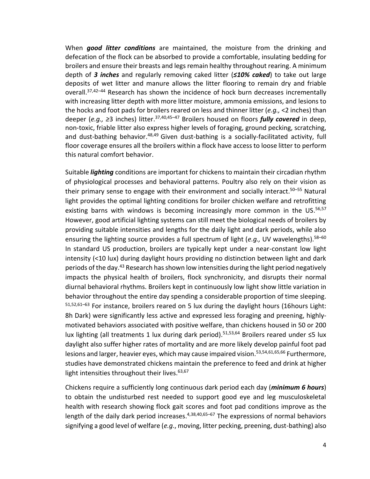When *good litter conditions* are maintained, the moisture from the drinking and defecation of the flock can be absorbed to provide a comfortable, insulating bedding for broilers and ensure their breasts and legs remain healthy throughout rearing. A minimum depth of *3 inches* and regularly removing caked litter (*≤10% caked*) to take out large deposits of wet litter and manure allows the litter flooring to remain dry and friable overall.<sup>37,42–44</sup> Research has shown the incidence of hock burn decreases incrementally with increasing litter depth with more litter moisture, ammonia emissions, and lesions to the hocks and foot pads for broilers reared on less and thinner litter (*e.g.,* <2 inches) than deeper (*e.g., ≥*3 inches) litter. 37,40,45–<sup>47</sup> Broilers housed on floors *fully covered* in deep, non-toxic, friable litter also express higher levels of foraging, ground pecking, scratching, and dust-bathing behavior.<sup>48,49</sup> Given dust-bathing is a socially-facilitated activity, full floor coverage ensures all the broilers within a flock have access to loose litter to perform this natural comfort behavior.

Suitable *lighting* conditions are important for chickens to maintain their circadian rhythm of physiological processes and behavioral patterns. Poultry also rely on their vision as their primary sense to engage with their environment and socially interact. <sup>50</sup>–<sup>55</sup> Natural light provides the optimal lighting conditions for broiler chicken welfare and retrofitting existing barns with windows is becoming increasingly more common in the US.<sup>56,57</sup> However, good artificial lighting systems can still meet the biological needs of broilers by providing suitable intensities and lengths for the daily light and dark periods, while also ensuring the lighting source provides a full spectrum of light (*e.g.*, UV wavelengths).<sup>58–60</sup> In standard US production, broilers are typically kept under a near-constant low light intensity (<10 lux) during daylight hours providing no distinction between light and dark periods of the day.<sup>43</sup> Research has shown low intensities during the light period negatively impacts the physical health of broilers, flock synchronicity, and disrupts their normal diurnal behavioral rhythms. Broilers kept in continuously low light show little variation in behavior throughout the entire day spending a considerable proportion of time sleeping. 51,52,61-63 For instance, broilers reared on 5 lux during the daylight hours (16hours Light: 8h Dark) were significantly less active and expressed less foraging and preening, highlymotivated behaviors associated with positive welfare, than chickens housed in 50 or 200 lux lighting (all treatments 1 lux during dark period).<sup>51,53,64</sup> Broilers reared under ≤5 lux daylight also suffer higher rates of mortality and are more likely develop painful foot pad lesions and larger, heavier eyes, which may cause impaired vision.<sup>53,54,61,65,66</sup> Furthermore, studies have demonstrated chickens maintain the preference to feed and drink at higher light intensities throughout their lives. 63,67

Chickens require a sufficiently long continuous dark period each day (*minimum 6 hours*) to obtain the undisturbed rest needed to support good eye and leg musculoskeletal health with research showing flock gait scores and foot pad conditions improve as the length of the daily dark period increases.<sup>4,38,40,65–67</sup> The expressions of normal behaviors signifying a good level of welfare (*e.g*., moving, litter pecking, preening, dust-bathing) also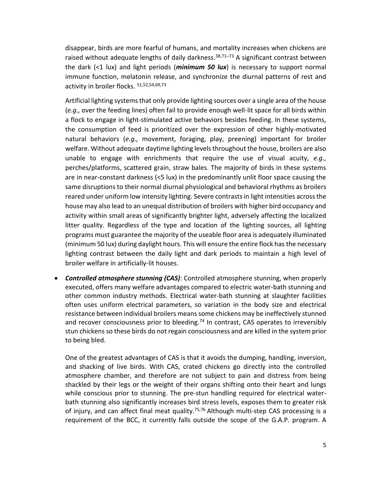disappear, birds are more fearful of humans, and mortality increases when chickens are raised without adequate lengths of daily darkness.<sup>38,71–73</sup> A significant contrast between the dark (<1 lux) and light periods (*minimum 50 lux*) is necessary to support normal immune function, melatonin release, and synchronize the diurnal patterns of rest and activity in broiler flocks. 51,52,54,69,73

Artificial lighting systems that only provide lighting sources over a single area of the house (*e.g.,* over the feeding lines) often fail to provide enough well-lit space for all birds within a flock to engage in light-stimulated active behaviors besides feeding. In these systems, the consumption of feed is prioritized over the expression of other highly-motivated natural behaviors (*e.g.,* movement, foraging, play, preening) important for broiler welfare. Without adequate daytime lighting levels throughout the house, broilers are also unable to engage with enrichments that require the use of visual acuity, *e.g.,*  perches/platforms, scattered grain, straw bales. The majority of birds in these systems are in near-constant darkness (<5 lux) in the predominantly unlit floor space causing the same disruptions to their normal diurnal physiological and behavioral rhythms as broilers reared under uniform low intensity lighting. Severe contrastsin light intensities across the house may also lead to an unequal distribution of broilers with higher bird occupancy and activity within small areas of significantly brighter light, adversely affecting the localized litter quality. Regardless of the type and location of the lighting sources, all lighting programs must guarantee the majority of the useable floor area is adequately illuminated (minimum 50 lux) during daylight hours. This will ensure the entire flock has the necessary lighting contrast between the daily light and dark periods to maintain a high level of broiler welfare in artificially-lit houses.

• *Controlled atmosphere stunning (CAS)*: Controlled atmosphere stunning, when properly executed, offers many welfare advantages compared to electric water-bath stunning and other common industry methods. Electrical water-bath stunning at slaughter facilities often uses uniform electrical parameters, so variation in the body size and electrical resistance between individual broilers means some chickens may be ineffectively stunned and recover consciousness prior to bleeding.<sup>74</sup> In contrast, CAS operates to irreversibly stun chickens so these birds do not regain consciousness and are killed in the system prior to being bled.

One of the greatest advantages of CAS is that it avoids the dumping, handling, inversion, and shacking of live birds. With CAS, crated chickens go directly into the controlled atmosphere chamber, and therefore are not subject to pain and distress from being shackled by their legs or the weight of their organs shifting onto their heart and lungs while conscious prior to stunning. The pre-stun handling required for electrical waterbath stunning also significantly increases bird stress levels, exposes them to greater risk of injury, and can affect final meat quality.<sup>75,76</sup> Although multi-step CAS processing is a requirement of the BCC, it currently falls outside the scope of the G.A.P. program. A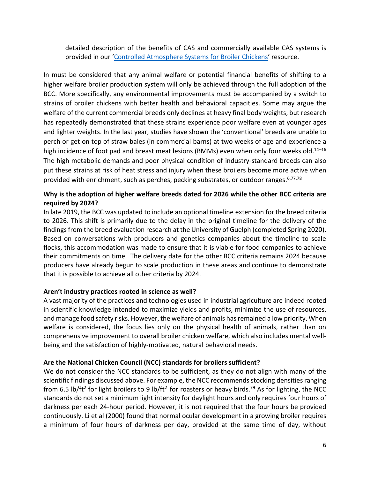detailed description of the benefits of CAS and commercially available CAS systems is provided in our '[Controlled Atmosphere Systems for Broiler Chickens](https://www.compassioninfoodbusiness.com/media/7432907/controlled-atmosphere-systems-for-broiler-chickens.pdf)' resource.

In must be considered that any animal welfare or potential financial benefits of shifting to a higher welfare broiler production system will only be achieved through the full adoption of the BCC. More specifically, any environmental improvements must be accompanied by a switch to strains of broiler chickens with better health and behavioral capacities. Some may argue the welfare of the current commercial breeds only declines at heavy final body weights, but research has repeatedly demonstrated that these strains experience poor welfare even at younger ages and lighter weights. In the last year, studies have shown the 'conventional' breeds are unable to perch or get on top of straw bales (in commercial barns) at two weeks of age and experience a high incidence of foot pad and breast meat lesions (BMMs) even when only four weeks old.<sup>14-16</sup> The high metabolic demands and poor physical condition of industry-standard breeds can also put these strains at risk of heat stress and injury when these broilers become more active when provided with enrichment, such as perches, pecking substrates, or outdoor ranges.<sup>6,77,78</sup>

# **Why is the adoption of higher welfare breeds dated for 2026 while the other BCC criteria are required by 2024?**

In late 2019, the BCC was updated to include an optional timeline extension for the breed criteria to 2026. This shift is primarily due to the delay in the original timeline for the delivery of the findings from the breed evaluation research at the University of Guelph (completed Spring 2020). Based on conversations with producers and genetics companies about the timeline to scale flocks, this accommodation was made to ensure that it is viable for food companies to achieve their commitments on time. The delivery date for the other BCC criteria remains 2024 because producers have already begun to scale production in these areas and continue to demonstrate that it is possible to achieve all other criteria by 2024.

#### **Aren't industry practices rooted in science as well?**

A vast majority of the practices and technologies used in industrial agriculture are indeed rooted in scientific knowledge intended to maximize yields and profits, minimize the use of resources, and manage food safety risks. However, the welfare of animals has remained a low priority. When welfare is considered, the focus lies only on the physical health of animals, rather than on comprehensive improvement to overall broiler chicken welfare, which also includes mental wellbeing and the satisfaction of highly-motivated, natural behavioral needs.

# **Are the National Chicken Council (NCC) standards for broilers sufficient?**

We do not consider the NCC standards to be sufficient, as they do not align with many of the scientific findings discussed above. For example, the NCC recommends stocking densities ranging from 6.5 lb/ft<sup>2</sup> for light broilers to 9 lb/ft<sup>2</sup> for roasters or heavy birds.<sup>79</sup> As for lighting, the NCC standards do not set a minimum light intensity for daylight hours and only requires four hours of darkness per each 24-hour period. However, it is not required that the four hours be provided continuously. Li et al (2000) found that normal ocular development in a growing broiler requires a minimum of four hours of darkness per day, provided at the same time of day, without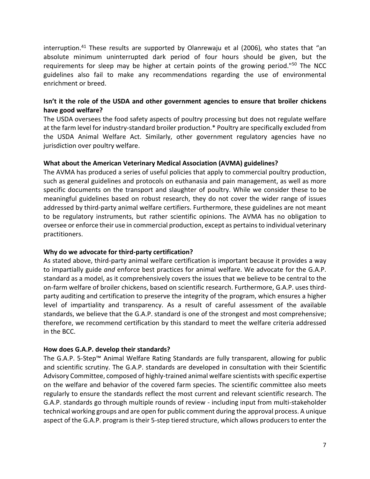interruption.<sup>41</sup> These results are supported by Olanrewaju et al (2006), who states that "an absolute minimum uninterrupted dark period of four hours should be given, but the requirements for sleep may be higher at certain points of the growing period."<sup>50</sup> The NCC guidelines also fail to make any recommendations regarding the use of environmental enrichment or breed.

# **Isn't it the role of the USDA and other government agencies to ensure that broiler chickens have good welfare?**

The USDA oversees the food safety aspects of poultry processing but does not regulate welfare at the farm level for industry-standard broiler production.\* Poultry are specifically excluded from the USDA Animal Welfare Act. Similarly, other government regulatory agencies have no jurisdiction over poultry welfare.

### **What about the American Veterinary Medical Association (AVMA) guidelines?**

The AVMA has produced a series of useful policies that apply to commercial poultry production, such as general guidelines and protocols on euthanasia and pain management, as well as more specific documents on the transport and slaughter of poultry. While we consider these to be meaningful guidelines based on robust research, they do not cover the wider range of issues addressed by third-party animal welfare certifiers. Furthermore, these guidelines are not meant to be regulatory instruments, but rather scientific opinions. The AVMA has no obligation to oversee or enforce their use in commercial production, except as pertains to individual veterinary practitioners.

#### **Why do we advocate for third-party certification?**

As stated above, third-party animal welfare certification is important because it provides a way to impartially guide *and* enforce best practices for animal welfare. We advocate for the G.A.P. standard as a model, as it comprehensively covers the issues that we believe to be central to the on-farm welfare of broiler chickens, based on scientific research. Furthermore, G.A.P. uses thirdparty auditing and certification to preserve the integrity of the program, which ensures a higher level of impartiality and transparency. As a result of careful assessment of the available standards, we believe that the G.A.P. standard is one of the strongest and most comprehensive; therefore, we recommend certification by this standard to meet the welfare criteria addressed in the BCC.

# **How does G.A.P. develop their standards?**

The G.A.P. 5-Step™ Animal Welfare Rating Standards are fully transparent, allowing for public and scientific scrutiny. The G.A.P. standards are developed in consultation with their Scientific Advisory Committee, composed of highly-trained animal welfare scientists with specific expertise on the welfare and behavior of the covered farm species. The scientific committee also meets regularly to ensure the standards reflect the most current and relevant scientific research. The G.A.P. standards go through multiple rounds of review - including input from multi-stakeholder technical working groups and are open for public comment during the approval process. A unique aspect of the G.A.P. program is their 5-step tiered structure, which allows producers to enter the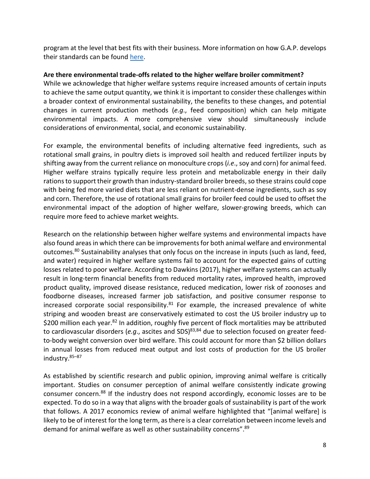program at the level that best fits with their business. More information on how G.A.P. develops their standards can be found [here.](https://globalanimalpartnership.org/standards/)

## **Are there environmental trade-offs related to the higher welfare broiler commitment?**

While we acknowledge that higher welfare systems require increased amounts of certain inputs to achieve the same output quantity, we think it is important to consider these challenges within a broader context of environmental sustainability, the benefits to these changes, and potential changes in current production methods (*e.g*., feed composition) which can help mitigate environmental impacts. A more comprehensive view should simultaneously include considerations of environmental, social, and economic sustainability.

For example, the environmental benefits of including alternative feed ingredients, such as rotational small grains, in poultry diets is improved soil health and reduced fertilizer inputs by shifting away from the current reliance on monoculture crops (*i.e*., soy and corn) for animal feed. Higher welfare strains typically require less protein and metabolizable energy in their daily rations to support their growth than industry-standard broiler breeds, so these strains could cope with being fed more varied diets that are less reliant on nutrient-dense ingredients, such as soy and corn. Therefore, the use of rotational small grains for broiler feed could be used to offset the environmental impact of the adoption of higher welfare, slower-growing breeds, which can require more feed to achieve market weights.

Research on the relationship between higher welfare systems and environmental impacts have also found areas in which there can be improvements for both animal welfare and environmental outcomes.<sup>80</sup> Sustainability analyses that only focus on the increase in inputs (such as land, feed, and water) required in higher welfare systems fail to account for the expected gains of cutting losses related to poor welfare. According to Dawkins (2017), higher welfare systems can actually result in long-term financial benefits from reduced mortality rates, improved health, improved product quality, improved disease resistance, reduced medication, lower risk of zoonoses and foodborne diseases, increased farmer job satisfaction, and positive consumer response to increased corporate social responsibility. $81$  For example, the increased prevalence of white striping and wooden breast are conservatively estimated to cost the US broiler industry up to \$200 million each year.<sup>82</sup> In addition, roughly five percent of flock mortalities may be attributed to cardiovascular disorders (*e.g*., ascites and SDS) 83,84 due to selection focused on greater feedto-body weight conversion over bird welfare. This could account for more than \$2 billion dollars in annual losses from reduced meat output and lost costs of production for the US broiler industry. 85–87

As established by scientific research and public opinion, improving animal welfare is critically important. Studies on consumer perception of animal welfare consistently indicate growing consumer concern.<sup>88</sup> If the industry does not respond accordingly, economic losses are to be expected. To do so in a way that aligns with the broader goals of sustainability is part of the work that follows. A 2017 economics review of animal welfare highlighted that "[animal welfare] is likely to be of interest for the long term, as there is a clear correlation between income levels and demand for animal welfare as well as other sustainability concerns".<sup>89</sup>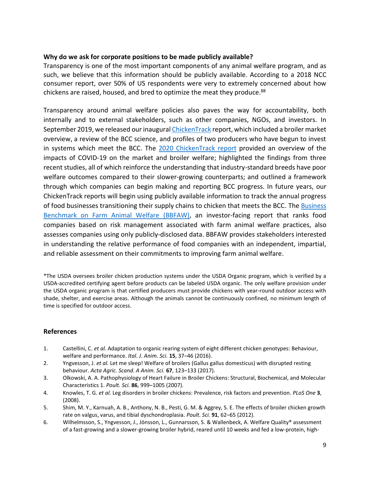#### **Why do we ask for corporate positions to be made publicly available?**

Transparency is one of the most important components of any animal welfare program, and as such, we believe that this information should be publicly available. According to a 2018 NCC consumer report, over 50% of US respondents were very to extremely concerned about how chickens are raised, housed, and bred to optimize the meat they produce.<sup>88</sup>

Transparency around animal welfare policies also paves the way for accountability, both internally and to external stakeholders, such as other companies, NGOs, and investors. In September 2019, we released our inaugural [ChickenTrack](https://www.ciwf.com/media/7437445/2019-chickentrack-report.pdf) report, which included a broiler market overview, a review of the BCC science, and profiles of two producers who have begun to invest in systems which meet the BCC. The [2020 ChickenTrack report](https://www.ciwf.com/media/7443240/chickentrack-2020-report.pdf) provided an overview of the impacts of COVID-19 on the market and broiler welfare; highlighted the findings from three recent studies, all of which reinforce the understanding that industry-standard breeds have poor welfare outcomes compared to their slower-growing counterparts; and outlined a framework through which companies can begin making and reporting BCC progress. In future years, our ChickenTrack reports will begin using publicly available information to track the annual progress of food businesses transitioning their supply chains to chicken that meets the BCC. The **Business** [Benchmark on Farm Animal Welfare](https://www.bbfaw.com/) (BBFAW), an investor-facing report that ranks food companies based on risk management associated with farm animal welfare practices, also assesses companies using only publicly-disclosed data. BBFAW provides stakeholders interested in understanding the relative performance of food companies with an independent, impartial, and reliable assessment on their commitments to improving farm animal welfare.

\*The USDA oversees broiler chicken production systems under the USDA Organic program, which is verified by a USDA-accredited certifying agent before products can be labeled USDA organic. The only welfare provision under the USDA organic program is that certified producers must provide chickens with year-round outdoor access with shade, shelter, and exercise areas. Although the animals cannot be continuously confined, no minimum length of time is specified for outdoor access.

# **References**

- 1. Castellini, C. *et al.* Adaptation to organic rearing system of eight different chicken genotypes: Behaviour, welfare and performance. *Ital. J. Anim. Sci.* **15**, 37–46 (2016).
- 2. Yngvesson, J. *et al.* Let me sleep! Welfare of broilers (Gallus gallus domesticus) with disrupted resting behaviour. *Acta Agric. Scand. A Anim. Sci.* **67**, 123–133 (2017).
- 3. Olkowski, A. A. Pathophysiology of Heart Failure in Broiler Chickens: Structural, Biochemical, and Molecular Characteristics 1. *Poult. Sci.* **86**, 999–1005 (2007).
- 4. Knowles, T. G. *et al.* Leg disorders in broiler chickens: Prevalence, risk factors and prevention. *PLoS One* **3**, (2008).
- 5. Shim, M. Y., Karnuah, A. B., Anthony, N. B., Pesti, G. M. & Aggrey, S. E. The effects of broiler chicken growth rate on valgus, varus, and tibial dyschondroplasia. *Poult. Sci.* **91**, 62–65 (2012).
- 6. Wilhelmsson, S., Yngvesson, J., Jönsson, L., Gunnarsson, S. & Wallenbeck, A. Welfare Quality® assessment of a fast-growing and a slower-growing broiler hybrid, reared until 10 weeks and fed a low-protein, high-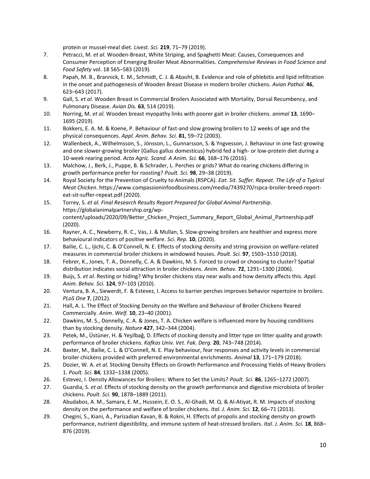protein or mussel-meal diet. *Livest. Sci.* **219**, 71–79 (2019).

- 7. Petracci, M. *et al.* Wooden-Breast, White Striping, and Spaghetti Meat: Causes, Consequences and Consumer Perception of Emerging Broiler Meat Abnormalities. *Comprehensive Reviews in Food Science and Food Safety* vol. 18 565–583 (2019).
- 8. Papah, M. B., Brannick, E. M., Schmidt, C. J. & Abasht, B. Evidence and role of phlebitis and lipid infiltration in the onset and pathogenesis of Wooden Breast Disease in modern broiler chickens. *Avian Pathol.* **46**, 623–643 (2017).
- 9. Gall, S. *et al.* Wooden Breast in Commercial Broilers Associated with Mortality, Dorsal Recumbency, and Pulmonary Disease. *Avian Dis.* **63**, 514 (2019).
- 10. Norring, M. *et al.* Wooden breast myopathy links with poorer gait in broiler chickens. *animal* **13**, 1690– 1695 (2019).
- 11. Bokkers, E. A. M. & Koene, P. Behaviour of fast-and slow growing broilers to 12 weeks of age and the physical consequences. *Appl. Anim. Behav. Sci.* **81**, 59–72 (2003).
- 12. Wallenbeck, A., Wilhelmsson, S., Jönsson, L., Gunnarsson, S. & Yngvesson, J. Behaviour in one fast-growing and one slower-growing broiler (Gallus gallus domesticus) hybrid fed a high- or low-protein diet during a 10-week rearing period. *Acta Agric. Scand. A Anim. Sci.* **66**, 168–176 (2016).
- 13. Malchow, J., Berk, J., Puppe, B. & Schrader, L. Perches or grids? What do rearing chickens differing in growth performance prefer for roosting? *Poult. Sci.* **98**, 29–38 (2019).
- 14. Royal Society for the Prevention of Cruelty to Animals (RSPCA). *Eat. Sit. Suffer. Repeat. The Life of a Typical Meat Chicken*. https://www.compassioninfoodbusiness.com/media/7439270/rspca-broiler-breed-reporteat-sit-suffer-repeat.pdf (2020).
- 15. Torrey, S. *et al. Final Research Results Report Prepared for Global Animal Partnership*. https://globalanimalpartnership.org/wpcontent/uploads/2020/09/Better Chicken Project Summary Report Global Animal Partnership.pdf (2020).
- 16. Rayner, A. C., Newberry, R. C., Vas, J. & Mullan, S. Slow-growing broilers are healthier and express more behavioural indicators of positive welfare. *Sci. Rep.* **10**, (2020).
- 17. Bailie, C. L., Ijichi, C. & O'Connell, N. E. Effects of stocking density and string provision on welfare-related measures in commercial broiler chickens in windowed houses. *Poult. Sci.* **97**, 1503–1510 (2018).
- 18. Febrer, K., Jones, T. A., Donnelly, C. A. & Dawkins, M. S. Forced to crowd or choosing to cluster? Spatial distribution indicates social attraction in broiler chickens. *Anim. Behav.* **72**, 1291–1300 (2006).
- 19. Buijs, S. *et al.* Resting or hiding? Why broiler chickens stay near walls and how density affects this. *Appl. Anim. Behav. Sci.* **124**, 97–103 (2010).
- 20. Ventura, B. A., Siewerdt, F. & Estevez, I. Access to barrier perches improves behavior repertoire in broilers. *PLoS One* **7**, (2012).
- 21. Hall, A. L. The Effect of Stocking Density on the Welfare and Behaviour of Broiler Chickens Reared Commercially. *Anim. Welf.* **10**, 23–40 (2001).
- 22. Dawkins, M. S., Donnelly, C. A. & Jones, T. A. Chicken welfare is influenced more by housing conditions than by stocking density. *Nature* **427**, 342–344 (2004).
- 23. Petek, M., Üstüner, H. & Yeşilbaǧ, D. Effects of stocking density and litter type on litter quality and growth performance of broiler chickens. *Kafkas Univ. Vet. Fak. Derg.* **20**, 743–748 (2014).
- 24. Baxter, M., Bailie, C. L. & O'Connell, N. E. Play behaviour, fear responses and activity levels in commercial broiler chickens provided with preferred environmental enrichments. *Animal* **13**, 171–179 (2018).
- 25. Dozier, W. A. *et al.* Stocking Density Effects on Growth Performance and Processing Yields of Heavy Broilers 1. *Poult. Sci.* **84**, 1332–1338 (2005).
- 26. Estevez, I. Density Allowances for Broilers: Where to Set the Limits? *Poult. Sci.* **86**, 1265–1272 (2007).
- 27. Guardia, S. *et al.* Effects of stocking density on the growth performance and digestive microbiota of broiler chickens. *Poult. Sci.* **90**, 1878–1889 (2011).
- 28. Abudabos, A. M., Samara, E. M., Hussein, E. O. S., Al-Ghadi, M. Q. & Al-Atiyat, R. M. Impacts of stocking density on the performance and welfare of broiler chickens. *Ital. J. Anim. Sci.* **12**, 66–71 (2013).
- 29. Chegini, S., Kiani, A., Parizadian Kavan, B. & Rokni, H. Effects of propolis and stocking density on growth performance, nutrient digestibility, and immune system of heat-stressed broilers. *Ital. J. Anim. Sci.* **18**, 868– 876 (2019).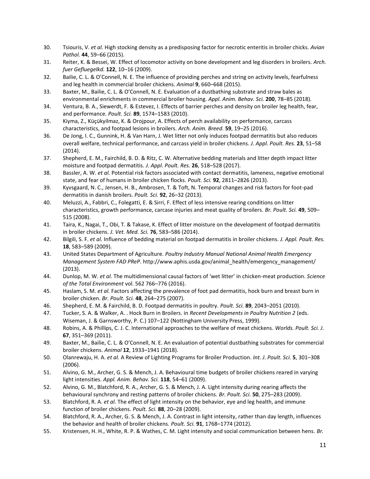- 30. Tsiouris, V. *et al.* High stocking density as a predisposing factor for necrotic enteritis in broiler chicks. *Avian Pathol.* **44**, 59–66 (2015).
- 31. Reiter, K. & Bessei, W. Effect of locomotor activity on bone development and leg disorders in broilers. *Arch. fuer Gefluegelkd.* **122**, 10–16 (2009).
- 32. Bailie, C. L. & O'Connell, N. E. The influence of providing perches and string on activity levels, fearfulness and leg health in commercial broiler chickens. *Animal* **9**, 660–668 (2015).
- 33. Baxter, M., Bailie, C. L. & O'Connell, N. E. Evaluation of a dustbathing substrate and straw bales as environmental enrichments in commercial broiler housing. *Appl. Anim. Behav. Sci.* **200**, 78–85 (2018).
- 34. Ventura, B. A., Siewerdt, F. & Estevez, I. Effects of barrier perches and density on broiler leg health, fear, and performance. *Poult. Sci.* **89**, 1574–1583 (2010).
- 35. Kiyma, Z., Küçükyilmaz, K. & Orojpour, A. Effects of perch availability on performance, carcass characteristics, and footpad lesions in broilers. *Arch. Anim. Breed.* **59**, 19–25 (2016).
- 36. De Jong, I. C., Gunnink, H. & Van Harn, J. Wet litter not only induces footpad dermatitis but also reduces overall welfare, technical performance, and carcass yield in broiler chickens. *J. Appl. Poult. Res.* **23**, 51–58 (2014).
- 37. Shepherd, E. M., Fairchild, B. D. & Ritz, C. W. Alternative bedding materials and litter depth impact litter moisture and footpad dermatitis. *J. Appl. Poult. Res.* **26**, 518–528 (2017).
- 38. Bassler, A. W. *et al.* Potential risk factors associated with contact dermatitis, lameness, negative emotional state, and fear of humans in broiler chicken flocks. *Poult. Sci.* **92**, 2811–2826 (2013).
- 39. Kyvsgaard, N. C., Jensen, H. B., Ambrosen, T. & Toft, N. Temporal changes and risk factors for foot-pad dermatitis in danish broilers. *Poult. Sci.* **92**, 26–32 (2013).
- 40. Meluzzi, A., Fabbri, C., Folegatti, E. & Sirri, F. Effect of less intensive rearing conditions on litter characteristics, growth performance, carcase injuries and meat quality of broilers. *Br. Poult. Sci.* **49**, 509– 515 (2008).
- 41. Taira, K., Nagai, T., Obi, T. & Takase, K. Effect of litter moisture on the development of footpad dermatitis in broiler chickens. *J. Vet. Med. Sci.* **76**, 583–586 (2014).
- 42. Bilgili, S. F. *et al.* Influence of bedding material on footpad dermatitis in broiler chickens. *J. Appl. Poult. Res.* **18**, 583–589 (2009).
- 43. United States Department of Agriculture. *Poultry Industry Manual National Animal Health Emergency Management System FAD PReP*. http://www.aphis.usda.gov/animal\_health/emergency\_management/ (2013).
- 44. Dunlop, M. W. *et al.* The multidimensional causal factors of 'wet litter' in chicken-meat production. *Science of the Total Environment* vol. 562 766–776 (2016).
- 45. Haslam, S. M. *et al.* Factors affecting the prevalence of foot pad dermatitis, hock burn and breast burn in broiler chicken. *Br. Poult. Sci.* **48**, 264–275 (2007).
- 46. Shepherd, E. M. & Fairchild, B. D. Footpad dermatitis in poultry. *Poult. Sci.* **89**, 2043–2051 (2010).
- 47. Tucker, S. A. & Walker, A. . Hock Burn in Broilers. in *Recent Developments in Poultry Nutrition 2* (eds. Wiseman, J. & Garnsworthy, P. C.) 107–122 (Nottingham University Press, 1999).
- 48. Robins, A. & Phillips, C. J. C. International approaches to the welfare of meat chickens. *Worlds. Poult. Sci. J.* **67**, 351–369 (2011).
- 49. Baxter, M., Bailie, C. L. & O'Connell, N. E. An evaluation of potential dustbathing substrates for commercial broiler chickens. *Animal* **12**, 1933–1941 (2018).
- 50. Olanrewaju, H. A. *et al.* A Review of Lighting Programs for Broiler Production. *Int. J. Poult. Sci.* **5**, 301–308 (2006).
- 51. Alvino, G. M., Archer, G. S. & Mench, J. A. Behavioural time budgets of broiler chickens reared in varying light intensities. *Appl. Anim. Behav. Sci.* **118**, 54–61 (2009).
- 52. Alvino, G. M., Blatchford, R. A., Archer, G. S. & Mench, J. A. Light intensity during rearing affects the behavioural synchrony and resting patterns of broiler chickens. *Br. Poult. Sci.* **50**, 275–283 (2009).
- 53. Blatchford, R. A. *et al.* The effect of light intensity on the behavior, eye and leg health, and immune function of broiler chickens. *Poult. Sci.* **88**, 20–28 (2009).
- 54. Blatchford, R. A., Archer, G. S. & Mench, J. A. Contrast in light intensity, rather than day length, influences the behavior and health of broiler chickens. *Poult. Sci.* **91**, 1768–1774 (2012).
- 55. Kristensen, H. H., White, R. P. & Wathes, C. M. Light intensity and social communication between hens. *Br.*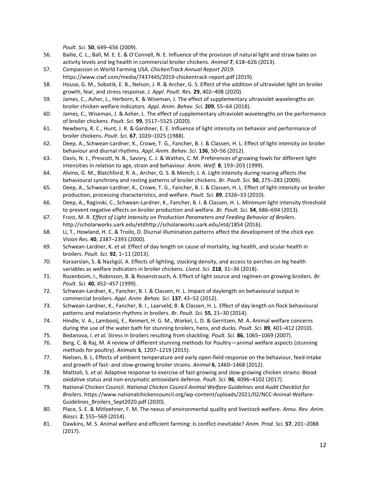*Poult. Sci.* **50**, 649–656 (2009).

- 56. Bailie, C. L., Ball, M. E. E. & O'Connell, N. E. Influence of the provision of natural light and straw bales on activity levels and leg health in commercial broiler chickens. *Animal* **7**, 618–626 (2013).
- 57. Compassion in World Farming USA. *ChickenTrack Annual Report 2019*. https://www.ciwf.com/media/7437445/2019-chickentrack-report.pdf (2019).
- 58. House, G. M., Sobotik, E. B., Nelson, J. R. & Archer, G. S. Effect of the addition of ultraviolet light on broiler growth, fear, and stress response. *J. Appl. Poult. Res.* **29**, 402–408 (2020).
- 59. James, C., Asher, L., Herborn, K. & Wiseman, J. The effect of supplementary ultraviolet wavelengths on broiler chicken welfare indicators. *Appl. Anim. Behav. Sci.* **209**, 55–64 (2018).
- 60. James, C., Wiseman, J. & Asher, L. The effect of supplementary ultraviolet wavelengths on the performance of broiler chickens. *Poult. Sci.* **99**, 5517–5525 (2020).
- 61. Newberry, R. C., Hunt, J. R. & Gardiner, E. E. Influence of light intensity on behavior and performance of broiler chickens. *Poult. Sci.* **67**, 1020–1025 (1988).
- 62. Deep, A., Schwean-Lardner, K., Crowe, T. G., Fancher, B. I. & Classen, H. L. Effect of light intensity on broiler behaviour and diurnal rhythms. *Appl. Anim. Behav. Sci.* **136**, 50–56 (2012).
- 63. Davis, N. J., Prescott, N. B., Savory, C. J. & Wathes, C. M. Preferences of growing fowls for different light intensities in relation to age, strain and behaviour. *Anim. Welf.* **8**, 193–203 (1999).
- 64. Alvino, G. M., Blatchford, R. A., Archer, G. S. & Mench, J. A. Light intensity during rearing affects the behavioural synchrony and resting patterns of broiler chickens. *Br. Poult. Sci.* **50**, 275–283 (2009).
- 65. Deep, A., Schwean-Lardner, K., Crowe, T. G., Fancher, B. I. & Classen, H. L. Effect of light intensity on broiler production, processing characteristics, and welfare. *Poult. Sci.* **89**, 2326–33 (2010).
- 66. Deep, A., Raginski, C., Schwean-Lardner, K., Fancher, B. I. & Classen, H. L. Minimum light intensity threshold to prevent negative effects on broiler production and welfare. *Br. Poult. Sci.* **54**, 686–694 (2013).
- 67. Frost, M. R. *Effect of Light Intensity on Production Parameters and Feeding Behavior of Broilers*. http://scholarworks.uark.edu/etdhttp://scholarworks.uark.edu/etd/1854 (2016).
- 68. Li, T., Howland, H. C. & Troilo, D. Diurnal illumination patterns affect the development of the chick eye. *Vision Res.* **40**, 2387–2393 (2000).
- 69. Schwean-Lardner, K. *et al.* Effect of day length on cause of mortality, leg health, and ocular health in broilers. *Poult. Sci.* **92**, 1–11 (2013).
- 70. Karaarslan, S. & Nazlıgül, A. Effects of lighting, stocking density, and access to perches on leg health variables as welfare indicators in broiler chickens. *Livest. Sci.* **218**, 31–36 (2018).
- 71. Rozenboim, I., Robinzon, B. & Rosenstrauch, A. Effect of light source and regimen on growing broilers. *Br. Poult. Sci.* **40**, 452–457 (1999).
- 72. Schwean-Lardner, K., Fancher, B. I. & Classen, H. L. Impact of daylength on behavioural output in commercial broilers. *Appl. Anim. Behav. Sci.* **137**, 43–52 (2012).
- 73. Schwean-Lardner, K., Fancher, B. I., Laarveld, B. & Classen, H. L. Effect of day length on flock behavioural patterns and melatonin rhythms in broilers. *Br. Poult. Sci.* **55**, 21–30 (2014).
- 74. Hindle, V. A., Lambooij, E., Reimert, H. G. M., Workel, L. D. & Gerritzen, M. A. Animal welfare concerns during the use of the water bath for stunning broilers, hens, and ducks. *Poult. Sci.* **89**, 401–412 (2010).
- 75. Bedanova, I. *et al.* Stress in broilers resulting from shackling. *Poult. Sci.* **86**, 1065–1069 (2007).
- 76. Berg, C. & Raj, M. A review of different stunning methods for Poultry—animal welfare aspects (stunning methods for poultry). *Animals* **5**, 1207–1219 (2015).
- 77. Nielsen, B. L. Effects of ambient temperature and early open-field response on the behaviour, feed intake and growth of fast- and slow-growing broiler strains. *Animal* **6**, 1460–1468 (2012).
- 78. Mattioli, S. *et al.* Adaptive response to exercise of fast-growing and slow-growing chicken strains: Blood oxidative status and non-enzymatic antioxidant defense. *Poult. Sci.* **96**, 4096–4102 (2017).
- 79. National Chicken Council. *National Chicken Council Animal Welfare Guidelines and Audit Checklist for Broilers*. https://www.nationalchickencouncil.org/wp-content/uploads/2021/02/NCC-Animal-Welfare-Guidelines\_Broilers\_Sept2020.pdf (2020).
- 80. Place, S. E. & Mitloehner, F. M. The nexus of environmental quality and livestock welfare. *Annu. Rev. Anim. Biosci.* **2**, 555–569 (2014).
- 81. Dawkins, M. S. Animal welfare and efficient farming: Is conflict inevitable? *Anim. Prod. Sci.* **57**, 201–2088 (2017).